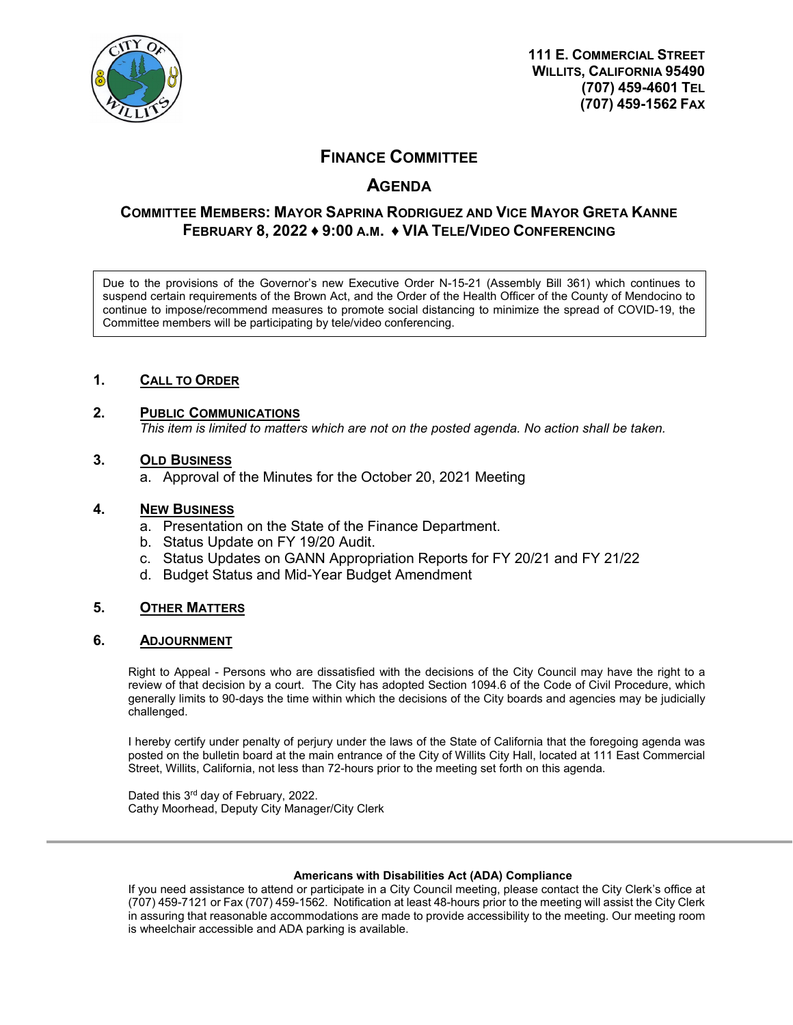

# **FINANCE COMMITTEE**

# **AGENDA**

# **COMMITTEE MEMBERS: MAYOR SAPRINA RODRIGUEZ AND VICE MAYOR GRETA KANNE FEBRUARY 8, 2022 ♦ 9:00 A.M. ♦ VIA TELE/VIDEO CONFERENCING**

Due to the provisions of the Governor's new Executive Order N-15-21 (Assembly Bill 361) which continues to suspend certain requirements of the Brown Act, and the Order of the Health Officer of the County of Mendocino to continue to impose/recommend measures to promote social distancing to minimize the spread of COVID-19, the Committee members will be participating by tele/video conferencing.

## **1. CALL TO ORDER**

## **2. PUBLIC COMMUNICATIONS**

*This item is limited to matters which are not on the posted agenda. No action shall be taken.*

## **3. OLD BUSINESS**

a. Approval of the Minutes for the October 20, 2021 Meeting

## **4. NEW BUSINESS**

- a. Presentation on the State of the Finance Department.
- b. Status Update on FY 19/20 Audit.
- c. Status Updates on GANN Appropriation Reports for FY 20/21 and FY 21/22
- d. Budget Status and Mid-Year Budget Amendment

## **5. OTHER MATTERS**

## **6. ADJOURNMENT**

Right to Appeal - Persons who are dissatisfied with the decisions of the City Council may have the right to a review of that decision by a court. The City has adopted Section 1094.6 of the Code of Civil Procedure, which generally limits to 90-days the time within which the decisions of the City boards and agencies may be judicially challenged.

I hereby certify under penalty of perjury under the laws of the State of California that the foregoing agenda was posted on the bulletin board at the main entrance of the City of Willits City Hall, located at 111 East Commercial Street, Willits, California, not less than 72-hours prior to the meeting set forth on this agenda.

Dated this 3<sup>rd</sup> day of February, 2022. Cathy Moorhead, Deputy City Manager/City Clerk

#### **Americans with Disabilities Act (ADA) Compliance**

If you need assistance to attend or participate in a City Council meeting, please contact the City Clerk's office at (707) 459-7121 or Fax (707) 459-1562. Notification at least 48-hours prior to the meeting will assist the City Clerk in assuring that reasonable accommodations are made to provide accessibility to the meeting. Our meeting room is wheelchair accessible and ADA parking is available.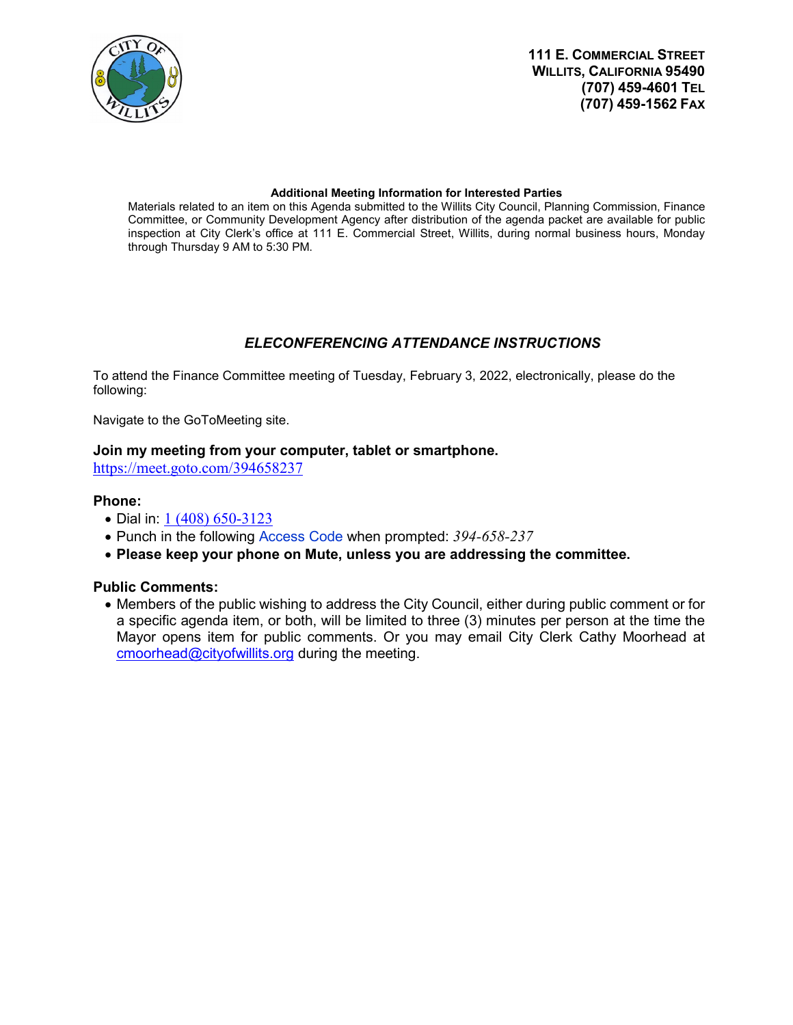

#### **Additional Meeting Information for Interested Parties**

Materials related to an item on this Agenda submitted to the Willits City Council, Planning Commission, Finance Committee, or Community Development Agency after distribution of the agenda packet are available for public inspection at City Clerk's office at 111 E. Commercial Street, Willits, during normal business hours, Monday through Thursday 9 AM to 5:30 PM.

## *ELECONFERENCING ATTENDANCE INSTRUCTIONS*

To attend the Finance Committee meeting of Tuesday, February 3, 2022, electronically, please do the following:

Navigate to the GoToMeeting site.

## **Join my meeting from your computer, tablet or smartphone.**

[https://meet.goto.com/394658237](https://meet.goto.com/394658237?_ga=2.256466312.2015812764.1643934157-935917587.1585068092)

## **Phone:**

- Dial in: [1 \(408\) 650-3123](tel:+14086503123,,394658237)
- Punch in the following Access Code when prompted: *394-658-237*
- **Please keep your phone on Mute, unless you are addressing the committee.**

## **Public Comments:**

• Members of the public wishing to address the City Council, either during public comment or for a specific agenda item, or both, will be limited to three (3) minutes per person at the time the Mayor opens item for public comments. Or you may email City Clerk Cathy Moorhead at [cmoorhead@cityofwillits.org](mailto:cmoorhead@cityofwillits.org) during the meeting.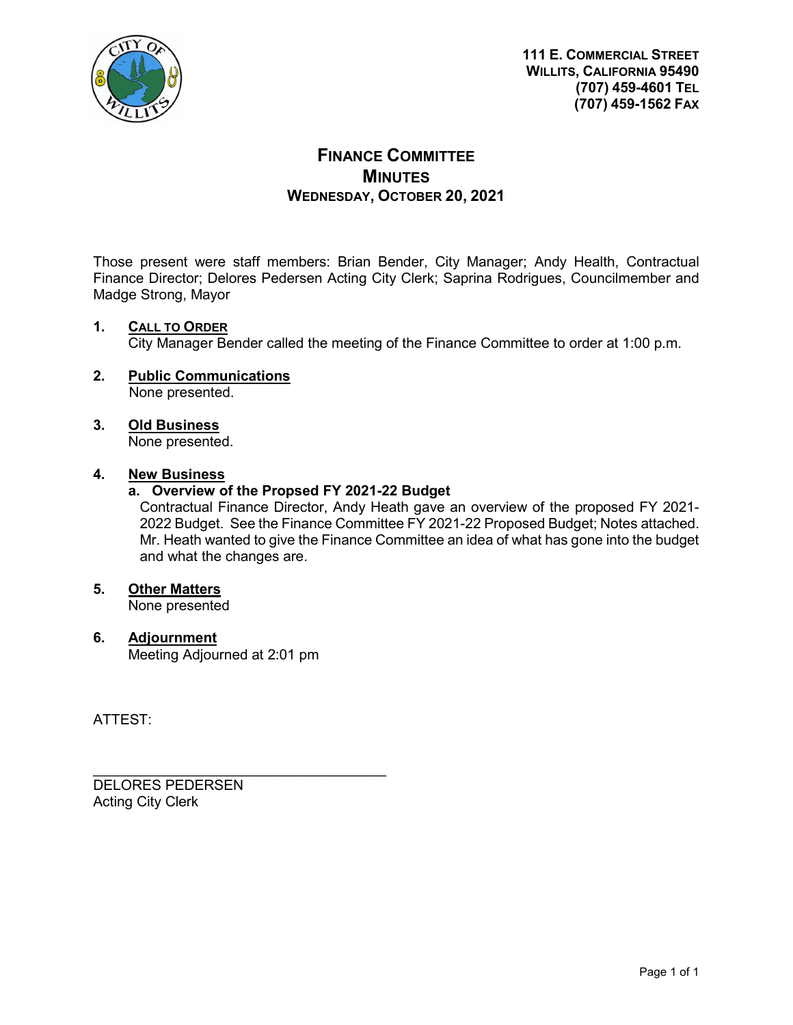

# **FINANCE COMMITTEE MINUTES WEDNESDAY, OCTOBER 20, 2021**

Those present were staff members: Brian Bender, City Manager; Andy Health, Contractual Finance Director; Delores Pedersen Acting City Clerk; Saprina Rodrigues, Councilmember and Madge Strong, Mayor

## **1. CALL TO ORDER**

City Manager Bender called the meeting of the Finance Committee to order at 1:00 p.m.

- **2. Public Communications** None presented.
- **3. Old Business** None presented.

## **4. New Business**

## **a. Overview of the Propsed FY 2021-22 Budget**

Contractual Finance Director, Andy Heath gave an overview of the proposed FY 2021- 2022 Budget. See the Finance Committee FY 2021-22 Proposed Budget; Notes attached. Mr. Heath wanted to give the Finance Committee an idea of what has gone into the budget and what the changes are.

## **5. Other Matters**

None presented

## **6. Adjournment** Meeting Adjourned at 2:01 pm

ATTEST:

\_\_\_\_\_\_\_\_\_\_\_\_\_\_\_\_\_\_\_\_\_\_\_\_\_\_\_\_\_\_\_\_\_\_\_\_\_ DELORES PEDERSEN Acting City Clerk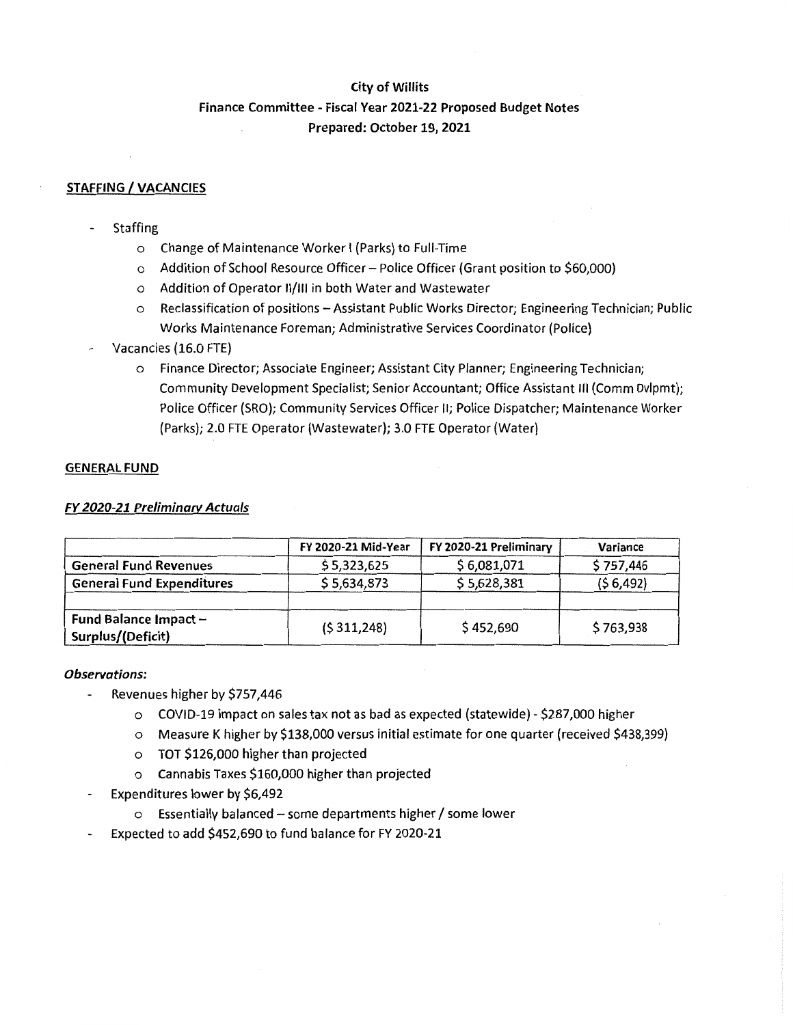## **City of Willits**

# Finance Committee - Fiscal Year 2021-22 Proposed Budget Notes Prepared: October 19, 2021

## **STAFFING / VACANCIES**

#### **Staffing**

- o Change of Maintenance Worker I (Parks) to Full-Time
- o Addition of School Resource Officer Police Officer (Grant position to \$60,000)
- o Addition of Operator II/III in both Water and Wastewater
- o Reclassification of positions Assistant Public Works Director; Engineering Technician; Public Works Maintenance Foreman; Administrative Services Coordinator (Police)
- Vacancies (16.0 FTE)
	- o Finance Director; Associate Engineer; Assistant City Planner; Engineering Technician; Community Development Specialist; Senior Accountant; Office Assistant III (Comm Dvlpmt); Police Officer (SRO); Community Services Officer II; Police Dispatcher; Maintenance Worker (Parks); 2.0 FTE Operator (Wastewater); 3.0 FTE Operator (Water)

### **GENERAL FUND**

### **FY 2020-21 Preliminary Actuals**

|                                           | FY 2020-21 Mid-Year | FY 2020-21 Preliminary | Variance  |
|-------------------------------------------|---------------------|------------------------|-----------|
| <b>General Fund Revenues</b>              | \$5,323,625         | \$6,081,071            | \$757,446 |
| <b>General Fund Expenditures</b>          | \$5,634,873         | \$5,628,381            | (56,492)  |
| Fund Balance Impact-<br>Surplus/(Deficit) | (5311,248)          | \$452,690              | \$763,938 |

- $\ddot{\phantom{a}}$ Revenues higher by \$757,446
	- COVID-19 impact on sales tax not as bad as expected (statewide) \$287,000 higher
	- O Measure K higher by \$138,000 versus initial estimate for one quarter (received \$438,399)
	- o TOT \$126,000 higher than projected
	- O Cannabis Taxes \$160,000 higher than projected
- Expenditures lower by \$6,492
	- o Essentially balanced some departments higher / some lower
	- Expected to add \$452,690 to fund balance for FY 2020-21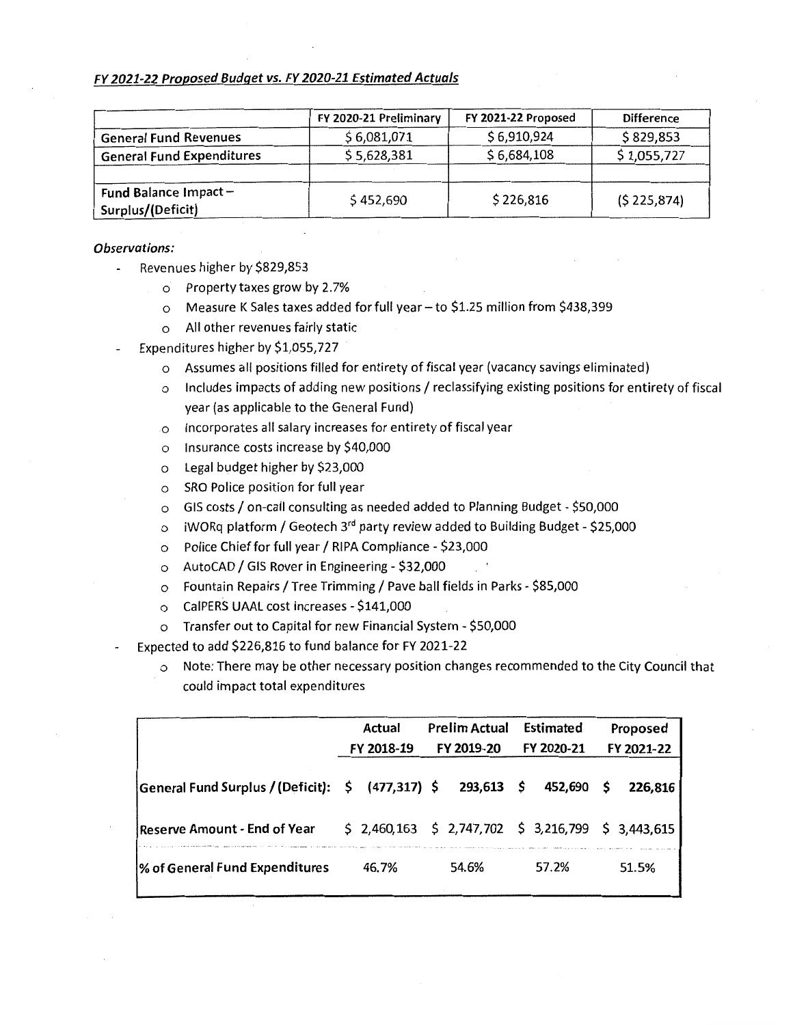### FY 2021-22 Proposed Budget vs. FY 2020-21 Estimated Actuals

|                                           | FY 2020-21 Preliminary | FY 2021-22 Proposed | <b>Difference</b> |
|-------------------------------------------|------------------------|---------------------|-------------------|
| <b>General Fund Revenues</b>              | \$6,081,071            | \$6,910,924         | \$829,853         |
| <b>General Fund Expenditures</b>          | \$5,628,381            | \$6,684,108         | \$1,055,727       |
| Fund Balance Impact-<br>Surplus/(Deficit) | \$452,690              | \$226,816           | (S.225, 874)      |

#### **Observations:**

- Revenues higher by \$829,853  $\overline{a}$ 
	- o Property taxes grow by 2.7%
	- o Measure K Sales taxes added for full year to \$1.25 million from \$438,399
	- o All other revenues fairly static
- Expenditures higher by \$1,055,727
	- o Assumes all positions filled for entirety of fiscal year (vacancy savings eliminated)
	- o Includes impacts of adding new positions / reclassifying existing positions for entirety of fiscal year (as applicable to the General Fund)
	- o Incorporates all salary increases for entirety of fiscal year
	- o Insurance costs increase by \$40,000
	- o Legal budget higher by \$23,000
	- o SRO Police position for full year
	- o GIS costs / on-call consulting as needed added to Planning Budget \$50,000
	- o iWORq platform / Geotech 3<sup>rd</sup> party review added to Building Budget \$25,000
	- o Police Chief for full year / RIPA Compliance \$23,000
	- O AutoCAD / GIS Rover in Engineering \$32,000
	- Fountain Repairs / Tree Trimming / Pave ball fields in Parks \$85,000
	- o CalPERS UAAL cost increases \$141,000
	- o Transfer out to Capital for new Financial System \$50,000

Expected to add \$226,816 to fund balance for FY 2021-22

o Note: There may be other necessary position changes recommended to the City Council that could impact total expenditures

|                                                                                               | Actual     |  | <b>Prelim Actual</b>                                | Estimated  |   | Proposed   |
|-----------------------------------------------------------------------------------------------|------------|--|-----------------------------------------------------|------------|---|------------|
|                                                                                               | FY 2018-19 |  | FY 2019-20                                          | FY 2020-21 |   | FY 2021-22 |
| General Fund Surplus / (Deficit): $\frac{1}{2}$ (477,317) $\frac{1}{2}$ 293,613 $\frac{1}{2}$ |            |  |                                                     | 452,690    | S | 226,816    |
| <b>Reserve Amount - End of Year</b>                                                           |            |  | $$2,460,163 \t$2,747,702 \t$3,216,799 \t$3,443,615$ |            |   |            |
| % of General Fund Expenditures                                                                | 46.7%      |  | 54.6%                                               | 57.2%      |   | 51.5%      |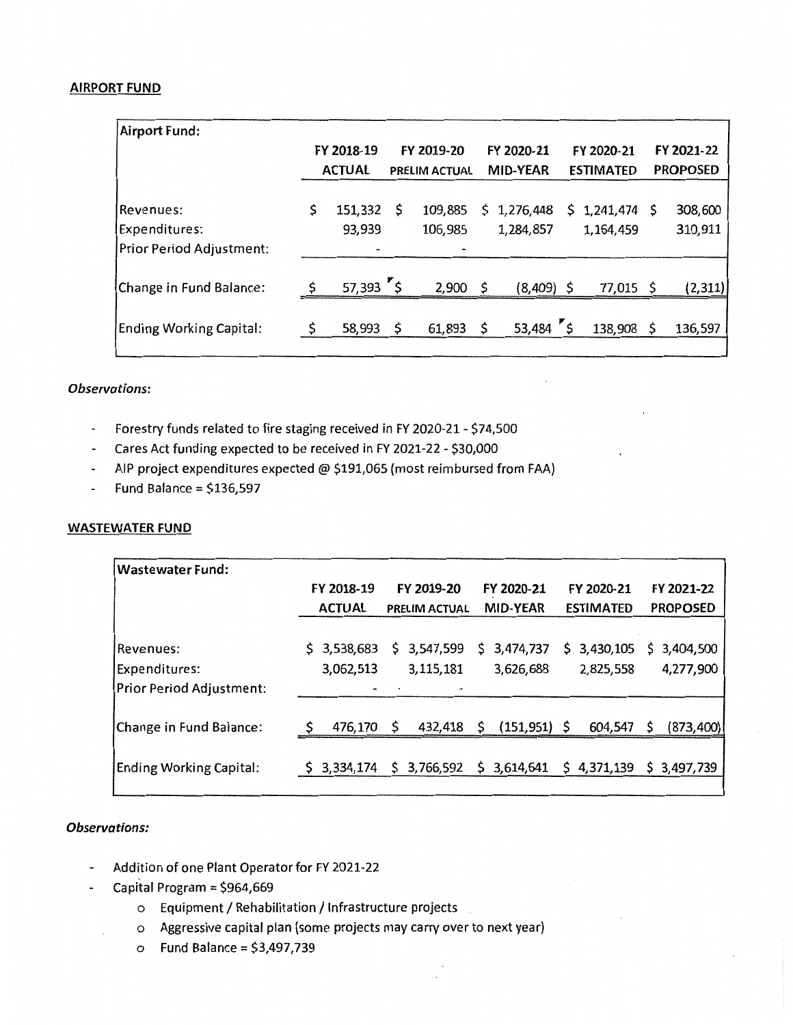#### **AIRPORT FUND**

| <b>Airport Fund:</b>           |                    |   |                      |   |                 |                  |              |                 |            |
|--------------------------------|--------------------|---|----------------------|---|-----------------|------------------|--------------|-----------------|------------|
|                                | FY 2018-19         |   | FY 2019-20           |   | FY 2020-21      |                  | FY 2020-21   |                 | FY 2021-22 |
|                                | <b>ACTUAL</b>      |   | <b>PRELIM ACTUAL</b> |   | <b>MID-YEAR</b> | <b>ESTIMATED</b> |              | <b>PROPOSED</b> |            |
|                                |                    |   |                      |   |                 |                  |              |                 |            |
| Revenues:                      | \$<br>151,332      | S | 109,885              | S | 1,276,448       | S.               | 1,241,474 \$ |                 | 308,600    |
| Expenditures:                  | 93,939             |   | 106,985              |   | 1,284,857       |                  | 1,164,459    |                 | 310,911    |
| Prior Period Adjustment:       |                    |   |                      |   |                 |                  |              |                 |            |
|                                |                    |   |                      |   |                 |                  |              |                 |            |
| Change in Fund Balance:        | \$<br>$57,393$ $5$ |   | $2,900$ \$           |   | (8, 409)        | -\$              | $77,015$ \$  |                 | (2, 311)   |
|                                |                    |   |                      |   |                 |                  |              |                 |            |
| <b>Ending Working Capital:</b> | 58,993             | S | 61,893               |   | 53,484 5        |                  | 138,908      |                 | 136,597    |
|                                |                    |   |                      |   |                 |                  |              |                 |            |

#### **Observations:**

- Forestry funds related to fire staging received in FY 2020-21 \$74,500  $\overline{\phantom{a}}$
- Cares Act funding expected to be received in FY 2021-22 \$30,000
- AIP project expenditures expected @ \$191,065 (most reimbursed from FAA)  $\blacksquare$
- Fund Balance =  $$136,597$

#### **WASTEWATER FUND**

| <b>Wastewater Fund:</b>        |               |                      |                        |                  |                 |
|--------------------------------|---------------|----------------------|------------------------|------------------|-----------------|
|                                | FY 2018-19    | FY 2019-20           | FY 2020-21             | FY 2020-21       | FY 2021-22      |
|                                | <b>ACTUAL</b> | <b>PRELIM ACTUAL</b> | <b>MID-YEAR</b>        | <b>ESTIMATED</b> | <b>PROPOSED</b> |
|                                |               |                      |                        |                  |                 |
| Revenues:                      | \$3,538,683   | 3,547,599<br>s       | \$.<br>3,474,737       | 3,430,105<br>\$  | 3,404,500<br>S  |
| Expenditures:                  | 3,062,513     | 3,115,181            | 3,626,688              | 2,825,558        | 4,277,900       |
| Prior Period Adjustment:       |               | $\bullet$            |                        |                  |                 |
|                                |               |                      |                        |                  |                 |
| Change in Fund Balance:        | 476,170       | 432,418<br>S         | $(151, 951)$ \$<br>- S | 604,547          | (873,400)<br>S  |
|                                |               |                      |                        |                  |                 |
| <b>Ending Working Capital:</b> | \$3,334,174   | 3,766,592<br>S       | \$3,614,641            | \$4,371,139      | \$3,497,739     |
|                                |               |                      |                        |                  |                 |

- Addition of one Plant Operator for FY 2021-22  $\blacksquare$
- Capital Program = \$964,669
	- o Equipment / Rehabilitation / Infrastructure projects
	- o Aggressive capital plan (some projects may carry over to next year)
	- $\circ$  Fund Balance = \$3,497,739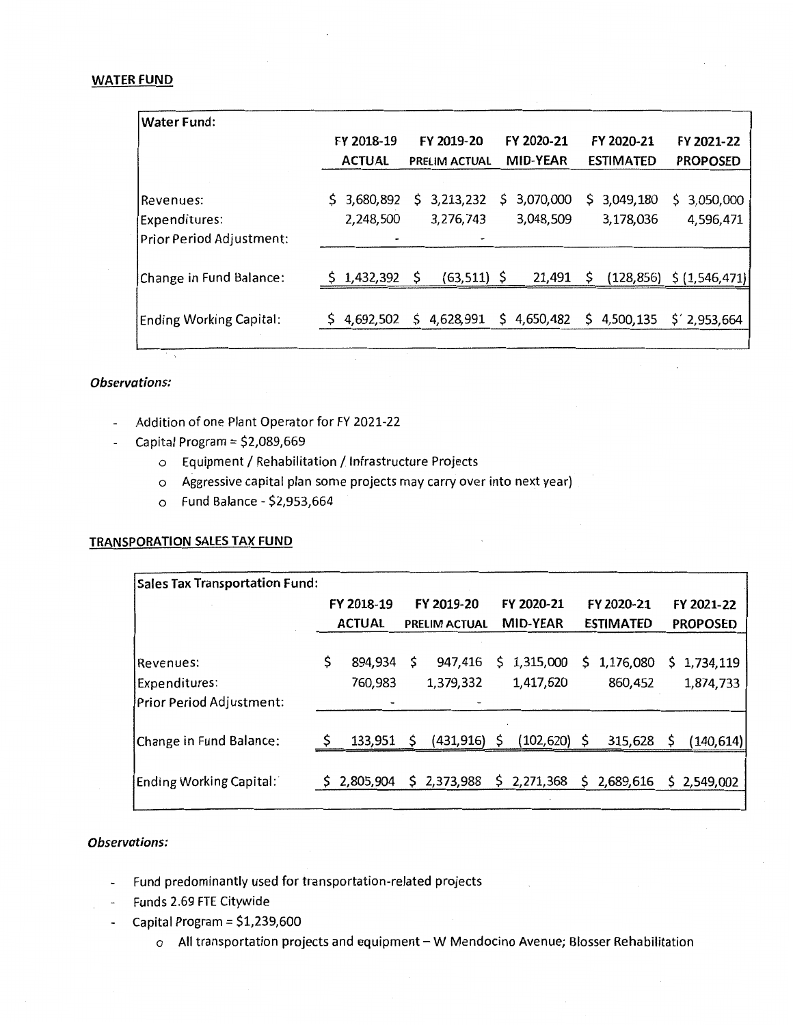#### **WATER FUND**

| lWater Fund:                   |                 |    |               |     |                 |    |                  |                        |
|--------------------------------|-----------------|----|---------------|-----|-----------------|----|------------------|------------------------|
|                                | FY 2018-19      |    | FY 2019-20    |     | FY 2020-21      |    | FY 2020-21       | FY 2021-22             |
|                                | <b>ACTUAL</b>   |    | PRELIM ACTUAL |     | <b>MID-YEAR</b> |    | <b>ESTIMATED</b> | <b>PROPOSED</b>        |
|                                |                 |    |               |     |                 |    |                  |                        |
| Revenues:                      | \$<br>3,680,892 | \$ | 3,213,232     | S   | 3,070,000       | S  | 3,049,180        | 3,050,000<br>S         |
| Expenditures:                  | 2,248,500       |    | 3,276,743     |     | 3,048,509       |    | 3,178,036        | 4,596,471              |
| Prior Period Adjustment:       |                 |    | ۰             |     |                 |    |                  |                        |
|                                |                 |    |               |     |                 |    |                  |                        |
| Change in Fund Balance:        | 1,432,392       | \$ | $(63,511)$ \$ |     | 21,491          | \$ | (128, 856)       | \$(1, 546, 471)        |
|                                |                 |    |               |     |                 |    |                  |                        |
| <b>Ending Working Capital:</b> | 4,692,502       | S  | 4,628,991     | \$. | 4,650,482       | \$ | 4,500,135        | $$^{\prime}$ 2,953,664 |
|                                |                 |    |               |     |                 |    |                  |                        |

## **Observations:**

- Addition of one Plant Operator for FY 2021-22  $\overline{\phantom{a}}$
- Capital Program =  $$2,089,669$ 
	- o Equipment / Rehabilitation / Infrastructure Projects
	- o Aggressive capital plan some projects may carry over into next year)
	- $\circ$  Fund Balance \$2,953,664

### **TRANSPORATION SALES TAX FUND**

| <b>Sales Tax Transportation Fund:</b> |            |               |                      |                 |                 |                 |                  |             |     |                 |
|---------------------------------------|------------|---------------|----------------------|-----------------|-----------------|-----------------|------------------|-------------|-----|-----------------|
|                                       | FY 2018-19 |               | FY 2019-20           |                 |                 | FY 2020-21      | FY 2020-21       |             |     | FY 2021-22      |
|                                       |            | <b>ACTUAL</b> | <b>PRELIM ACTUAL</b> |                 | <b>MID-YEAR</b> |                 | <b>ESTIMATED</b> |             |     | <b>PROPOSED</b> |
|                                       |            |               |                      |                 |                 |                 |                  |             |     |                 |
| Revenues:                             | \$         | 894,934       | Ş                    | 947,416         | Ş.              | 1,315,000       | \$               | 1,176,080   | \$. | 1,734,119       |
| Expenditures:                         |            | 760,983       |                      | 1,379,332       |                 | 1,417,620       |                  | 860,452     |     | 1,874,733       |
| Prior Period Adjustment:              |            |               |                      |                 |                 |                 |                  |             |     |                 |
|                                       |            |               |                      |                 |                 |                 |                  |             |     |                 |
| Change in Fund Balance:               |            | 133,951       | S                    | $(431, 916)$ \$ |                 | $(102, 620)$ \$ |                  | 315,628     | S   | (140, 614)      |
|                                       |            |               |                      |                 |                 |                 |                  |             |     |                 |
| Ending Working Capital:               |            | 2,805,904     |                      | \$2,373,988     | \$.             | 2,271,368       |                  | \$2,689,616 |     | \$2,549,002     |
|                                       |            |               |                      |                 |                 |                 |                  |             |     |                 |

- Fund predominantly used for transportation-related projects  $\overline{\phantom{a}}$
- Funds 2.69 FTE Citywide
- Capital Program =  $$1,239,600$  $\bullet$ 
	- o All transportation projects and equipment W Mendocino Avenue; Blosser Rehabilitation